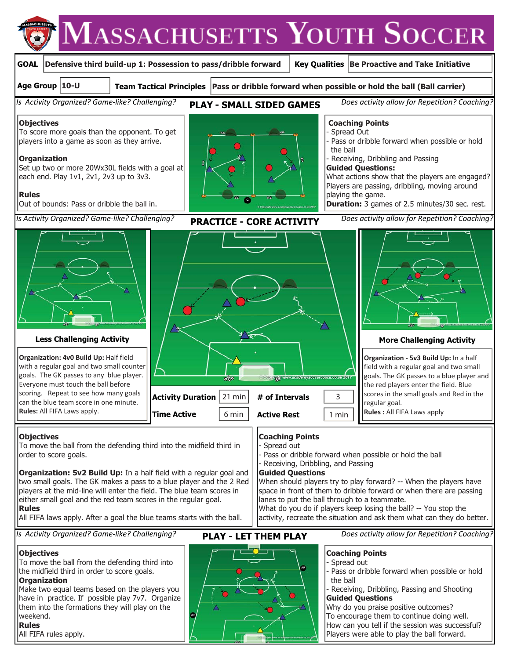



**Organization: 4v0 Build Up:** Half field with a regular goal and two small counter goals. The GK passes to any blue player. Everyone must touch the ball before scoring. Repeat to see how many goals can the blue team score in one minute. **Rules:** All FIFA Laws apply.

#### **Objectives**

To move the ball from the defending third into the midfield third in lorder to score goals.

**Organization: 5v2 Build Up:** In a half field with a regular goal and two small goals. The GK makes a pass to a blue player and the 2 Red players at the mid-line will enter the field. The blue team scores in either small goal and the red team scores in the regular goal. **Rules** 

All FIFA laws apply. After a goal the blue teams starts with the ball.

*Is Activity Organized? Game-like? Challenging?* **PLAY - LET THEM PLAY** Does activity allow for Repetition? Coaching?

#### **Objectives**

To move the ball from the defending third into the midfield third in order to score goals. **Organization** 

Make two equal teams based on the players you have in practice. If possible play 7v7. Organize them into the formations they will play on the weekend.

### **Rules**

All FIFA rules apply.



Spread out

- 
- Receiving, Dribbling, and Passing

#### **Guided Questions**

When should players try to play forward? -- When the players have space in front of them to dribble forward or when there are passing lanes to put the ball through to a teammate. What do you do if players keep losing the ball? -- You stop the

activity, recreate the situation and ask them what can they do better.

# **Coaching Points**

Spread out Pass or dribble forward when possible or hold the ball

Receiving, Dribbling, Passing and Shooting **Guided Questions** 

Why do you praise positive outcomes? To encourage them to continue doing well. How can you tell if the session was successful? Players were able to play the ball forward.

# **Coaching Points**

- Pass or dribble forward when possible or hold the ball
- Active Rest | 1 min
- **Less Challenging Activity More Challenging Activity Activity Duration # of Intervals** 21 min 3

**Time Active**  6 min

**Organization - 5v3 Build Up:** In a half field with a regular goal and two small goals. The GK passes to a blue player and the red players enter the field. Blue scores in the small goals and Red in the regular goal.

**Rules :** All FIFA Laws apply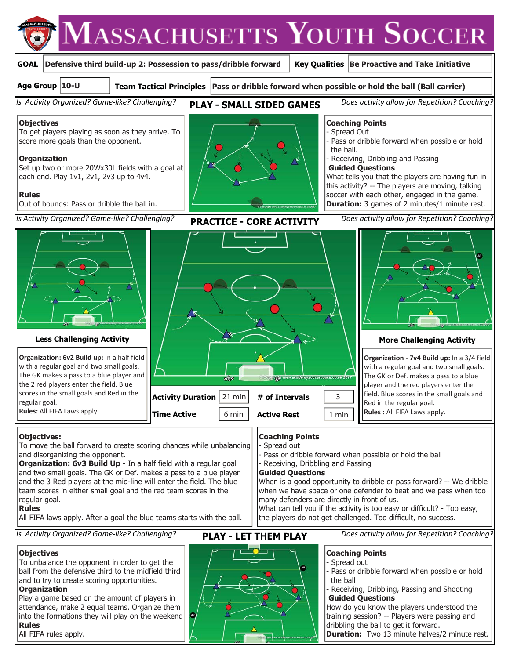



Pass or dribble forward when possible or hold

Receiving, Dribbling, Passing and Shooting

How do you know the players understood the training session? -- Players were passing and

**Duration:** Two 13 minute halves/2 minute rest.

dribbling the ball to get it forward.

the ball

**Guided Questions**

To unbalance the opponent in order to get the ball from the defensive third to the midfield third and to try to create scoring opportunities.

### **Organization**

Play a game based on the amount of players in attendance, make 2 equal teams. Organize them into the formations they will play on the weekend **Rules** 

All FIFA rules apply.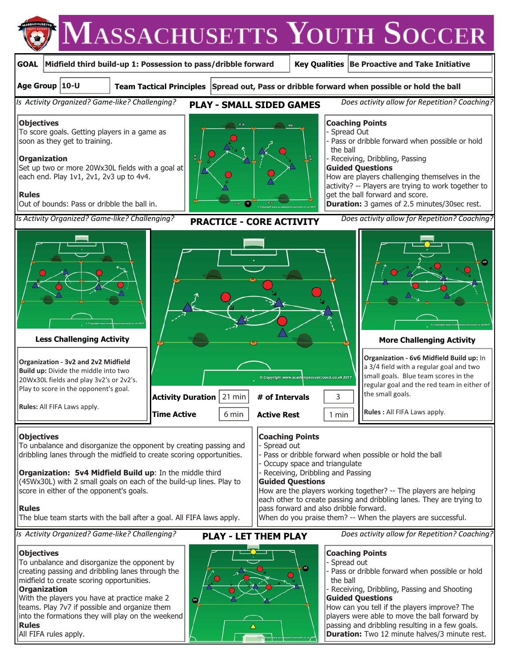

All FIFA rules apply.

passing and dribbling resulting in a few goals. **Duration:** Two 12 minute halves/3 minute rest.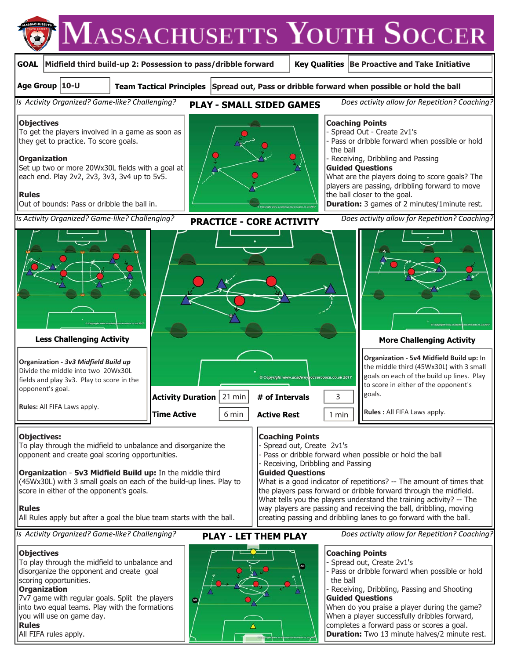

#### **Objectives:**

To play through the midfield to unbalance and disorganize the opponent and create goal scoring opportunities.

**Organizatio**n - **5v3 Midfield Build up:** In the middle third (45Wx30L) with 3 small goals on each of the build-up lines. Play to score in either of the opponent's goals.

#### **Rules**

All Rules apply but after a goal the blue team starts with the ball.

*Is Activity Organized? Game-like? Challenging?* **PLAY - LET THEM PLAY** Does activity allow for Repetition? Coaching?

#### **Objectives**

To play through the midfield to unbalance and disorganize the opponent and create goal scoring opportunities.

#### **Organization**

7v7 game with regular goals. Split the players into two equal teams. Play with the formations you will use on game day.

#### **Rules**

All FIFA rules apply.



**Coaching Points** 

**Guided Questions** 

Spread out, Create 2v1's

Receiving, Dribbling and Passing

### **Coaching Points**

Pass or dribble forward when possible or hold the ball

Spread out, Create 2v1's

What is a good indicator of repetitions? -- The amount of times that the players pass forward or dribble forward through the midfield. What tells you the players understand the training activity? -- The way players are passing and receiving the ball, dribbling, moving creating passing and dribbling lanes to go forward with the ball.

> Pass or dribble forward when possible or hold the ball

Receiving, Dribbling, Passing and Shooting **Guided Questions** 

When do you praise a player during the game? When a player successfully dribbles forward, completes a forward pass or scores a goal. **Duration:** Two 13 minute halves/2 minute rest.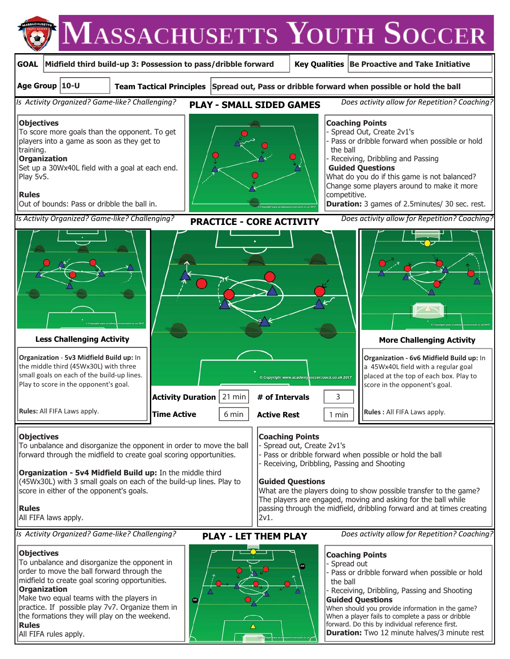

All FIFA rules apply.

forward. Do this by individual reference first. **Duration:** Two 12 minute halves/3 minute rest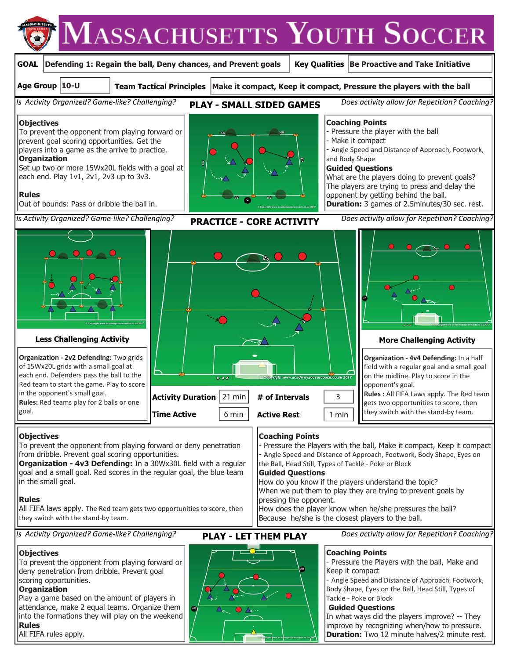

# **Objectives**

To prevent the opponent from playing forward or deny penetration from dribble. Prevent goal scoring opportunities.

**Organization - 4v3 Defending:** In a 30Wx30L field with a regular goal and a small goal. Red scores in the regular goal, the blue team in the small goal.

## **Rules**

All FIFA laws apply. The Red team gets two opportunities to score, then they switch with the stand-by team.

*Is Activity Organized? Game-like? Challenging?* **PLAY - LET THEM PLAY** Does activity allow for Repetition? Coaching?

# **Objectives**

To prevent the opponent from playing forward or deny penetration from dribble. Prevent goal scoring opportunities.

# **Organization**

Play a game based on the amount of players in attendance, make 2 equal teams. Organize them into the formations they will play on the weekend **Rules** 

All FIFA rules apply.

**Coaching Points** 

**Guided Questions** 

pressing the opponent.

### **Coaching Points**

How does the player know when he/she pressures the ball?

the Ball, Head Still, Types of Tackle - Poke or Block

How do you know if the players understand the topic? When we put them to play they are trying to prevent goals by

Because he/she is the closest players to the ball.

- Pressure the Players with the ball, Make it compact, Keep it compact - Angle Speed and Distance of Approach, Footwork, Body Shape, Eyes on

> - Pressure the Players with the ball, Make and Keep it compact

- Angle Speed and Distance of Approach, Footwork, Body Shape, Eyes on the Ball, Head Still, Types of Tackle - Poke or Block

### **Guided Questions**

In what ways did the players improve? -- They improve by recognizing when/how to pressure. **Duration:** Two 12 minute halves/2 minute rest.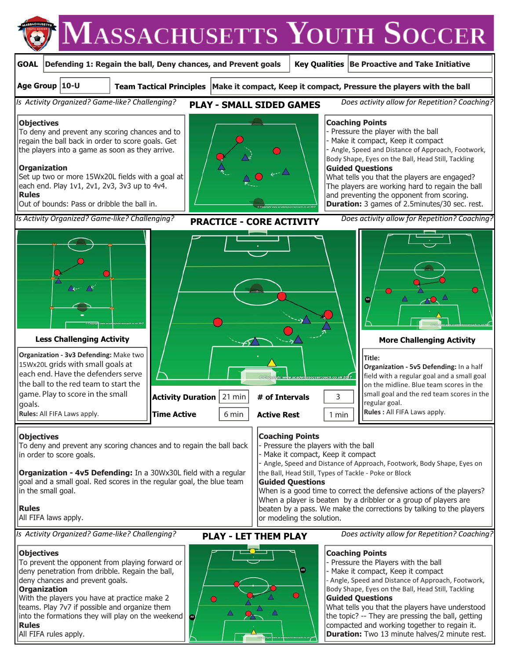

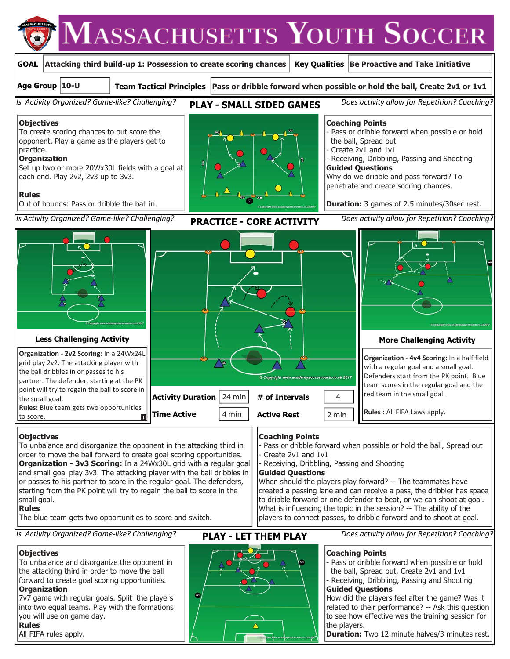

7v7 game with regular goals. Split the players into two equal teams. Play with the formations you will use on game day. **Rules** 

All FIFA rules apply.



How did the players feel after the game? Was it related to their performance? -- Ask this question to see how effective was the training session for the players.

**Duration:** Two 12 minute halves/3 minutes rest.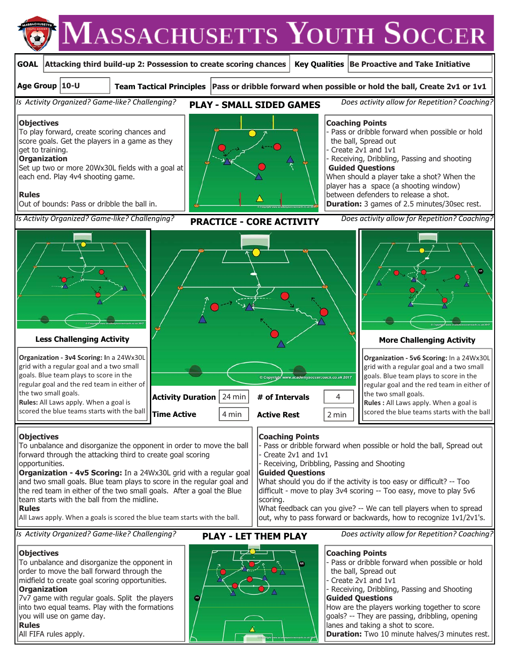



**Duration:** Two 10 minute halves/3 minutes rest.

**Rules** 

All FIFA rules apply.